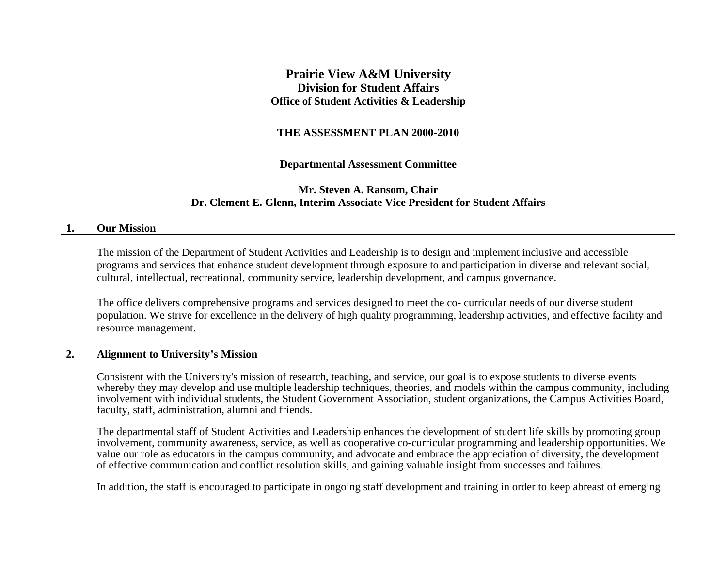## **Prairie View A&M University Division for Student Affairs Office of Student Activities & Leadership**

### **THE ASSESSMENT PLAN 2000-2010**

### **Departmental Assessment Committee**

## **Mr. Steven A. Ransom, Chair Dr. Clement E. Glenn, Interim Associate Vice President for Student Affairs**

#### **1. Our Mission**

The mission of the Department of Student Activities and Leadership is to design and implement inclusive and accessible programs and services that enhance student development through exposure to and participation in diverse and relevant social, cultural, intellectual, recreational, community service, leadership development, and campus governance.

The office delivers comprehensive programs and services designed to meet the co- curricular needs of our diverse student population. We strive for excellence in the delivery of high quality programming, leadership activities, and effective facility and resource management.

### **2. Alignment to University's Mission**

Consistent with the University's mission of research, teaching, and service, our goal is to expose students to diverse events whereby they may develop and use multiple leadership techniques, theories, and models within the campus community, including involvement with individual students, the Student Government Association, student organizations, the Campus Activities Board, faculty, staff, administration, alumni and friends.

The departmental staff of Student Activities and Leadership enhances the development of student life skills by promoting group involvement, community awareness, service, as well as cooperative co-curricular programming and leadership opportunities. We value our role as educators in the campus community, and advocate and embrace the appreciation of diversity, the development of effective communication and conflict resolution skills, and gaining valuable insight from successes and failures.

In addition, the staff is encouraged to participate in ongoing staff development and training in order to keep abreast of emerging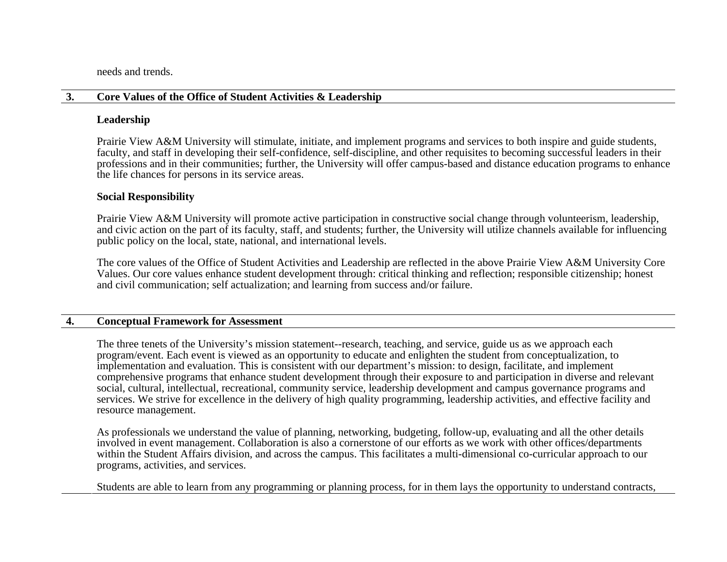needs and trends.

### **3. Core Values of the Office of Student Activities & Leadership**

### **Leadership**

Prairie View A&M University will stimulate, initiate, and implement programs and services to both inspire and guide students, faculty, and staff in developing their self-confidence, self-discipline, and other requisites to becoming successful leaders in their professions and in their communities; further, the University will offer campus-based and distance education programs to enhance the life chances for persons in its service areas.

## **Social Responsibility**

Prairie View A&M University will promote active participation in constructive social change through volunteerism, leadership, and civic action on the part of its faculty, staff, and students; further, the University will utilize channels available for influencing public policy on the local, state, national, and international levels.

The core values of the Office of Student Activities and Leadership are reflected in the above Prairie View A&M University Core Values. Our core values enhance student development through: critical thinking and reflection; responsible citizenship; honest and civil communication; self actualization; and learning from success and/or failure.

### **4. Conceptual Framework for Assessment**

The three tenets of the University's mission statement--research, teaching, and service, guide us as we approach each program/event. Each event is viewed as an opportunity to educate and enlighten the student from conceptualization, to implementation and evaluation. This is consistent with our department's mission: to design, facilitate, and implement comprehensive programs that enhance student development through their exposure to and participation in diverse and relevant social, cultural, intellectual, recreational, community service, leadership development and campus governance programs and services. We strive for excellence in the delivery of high quality programming, leadership activities, and effective facility and resource management.

As professionals we understand the value of planning, networking, budgeting, follow-up, evaluating and all the other details involved in event management. Collaboration is also a cornerstone of our efforts as we work with other offices/departments within the Student Affairs division, and across the campus. This facilitates a multi-dimensional co-curricular approach to our programs, activities, and services.

Students are able to learn from any programming or planning process, for in them lays the opportunity to understand contracts,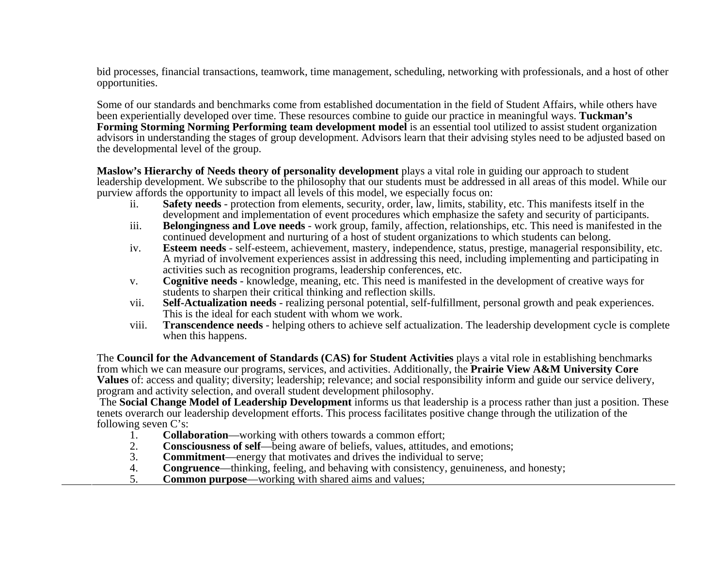bid processes, financial transactions, teamwork, time management, scheduling, networking with professionals, and a host of other opportunities.

Some of our standards and benchmarks come from established documentation in the field of Student Affairs, while others have been experientially developed over time. These resources combine to guide our practice in meaningful ways. **Tuckman's Forming Storming Norming Performing team development model** is an essential tool utilized to assist student organization advisors in understanding the stages of group development. Advisors learn that their advising styles need to be adjusted based on the developmental level of the group.

**Maslow's Hierarchy of Needs theory of personality development** plays a vital role in guiding our approach to student leadership development. We subscribe to the philosophy that our students must be addressed in all areas of this model. While our purview affords the opportunity to impact all levels of this model, we especially focus on:

- ii. **Safety needs** protection from elements, security, order, law, limits, stability, etc. This manifests itself in the development and implementation of event procedures which emphasize the safety and security of participants.
- iii. **Belongingness and Love needs** work group, family, affection, relationships, etc. This need is manifested in the continued development and nurturing of a host of student organizations to which students can belong.
- iv. **Esteem needs** self-esteem, achievement, mastery, independence, status, prestige, managerial responsibility, etc. A myriad of involvement experiences assist in addressing this need, including implementing and participating in activities such as recognition programs, leadership conferences, etc.
- v. **Cognitive needs** knowledge, meaning, etc. This need is manifested in the development of creative ways for students to sharpen their critical thinking and reflection skills.
- vii. **Self-Actualization needs** realizing personal potential, self-fulfillment, personal growth and peak experiences. This is the ideal for each student with whom we work.
- viii. **Transcendence needs** - helping others to achieve self actualization. The leadership development cycle is complete when this happens.

The **Council for the Advancement of Standards (CAS) for Student Activities** plays a vital role in establishing benchmarks from which we can measure our programs, services, and activities. Additionally, the **Prairie View A&M University Core Values** of: access and quality; diversity; leadership; relevance; and social responsibility inform and guide our service delivery, program and activity selection, and overall student development philosophy.

The **Social Change Model of Leadership Development** informs us that leadership is a process rather than just a position. These tenets overarch our leadership development efforts. This process facilitates positive change through the utilization of the following seven C's:

- 1. **Collaboration—working with others towards a common effort;**<br>2. **Consciousness of self**—being aware of beliefs, values, attitudes
- 2. **Consciousness of self**—being aware of beliefs, values, attitudes, and emotions;<br>3. **Commitment**—energy that motivates and drives the individual to serve:
- **Commitment—energy that motivates and drives the individual to serve;**
- 4. **Congruence—thinking, feeling, and behaving with consistency, genuineness, and honesty;**<br>5. **Common purpose**—working with shared aims and values:
- **Common purpose—working with shared aims and values;**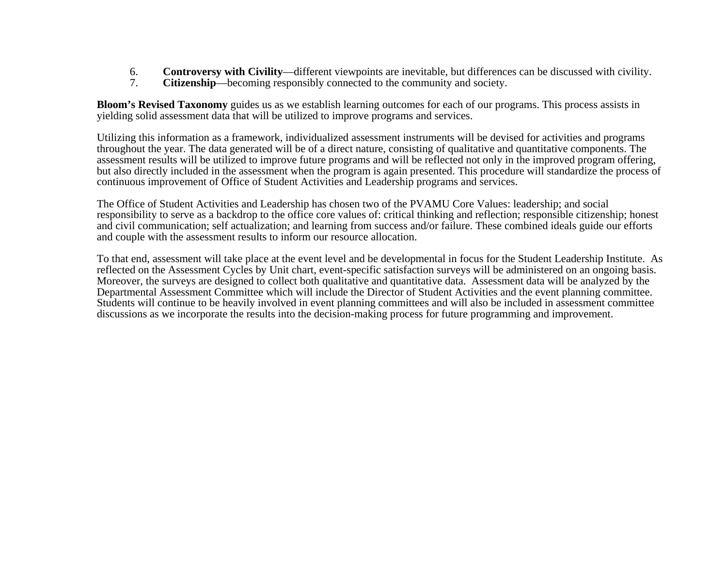- 6. **Controversy with Civility**—different viewpoints are inevitable, but differences can be discussed with civility.
- **Citizenship—becoming responsibly connected to the community and society.**

**Bloom's Revised Taxonomy** guides us as we establish learning outcomes for each of our programs. This process assists in yielding solid assessment data that will be utilized to improve programs and services.

Utilizing this information as a framework, individualized assessment instruments will be devised for activities and programs throughout the year. The data generated will be of a direct nature, consisting of qualitative and quantitative components. The assessment results will be utilized to improve future programs and will be reflected not only in the improved program offering, but also directly included in the assessment when the program is again presented. This procedure will standardize the process of continuous improvement of Office of Student Activities and Leadership programs and services.

The Office of Student Activities and Leadership has chosen two of the PVAMU Core Values: leadership; and social responsibility to serve as a backdrop to the office core values of: critical thinking and reflection; responsible citizenship; honest and civil communication; self actualization; and learning from success and/or failure. These combined ideals guide our efforts and couple with the assessment results to inform our resource allocation.

To that end, assessment will take place at the event level and be developmental in focus for the Student Leadership Institute. As reflected on the Assessment Cycles by Unit chart, event-specific satisfaction surveys will be administered on an ongoing basis. Moreover, the surveys are designed to collect both qualitative and quantitative data. Assessment data will be analyzed by the Departmental Assessment Committee which will include the Director of Student Activities and the event planning committee. Students will continue to be heavily involved in event planning committees and will also be included in assessment committee discussions as we incorporate the results into the decision-making process for future programming and improvement.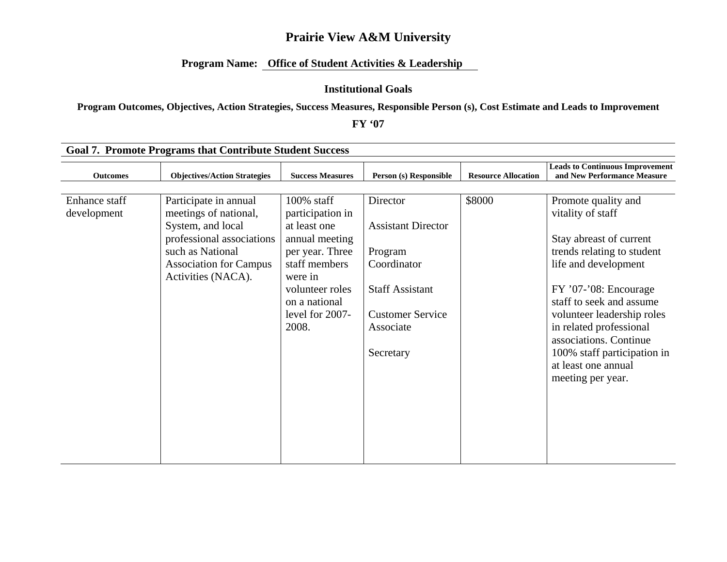## **Program Name: Office of Student Activities & Leadership**

### **Institutional Goals**

**Program Outcomes, Objectives, Action Strategies, Success Measures, Responsible Person (s), Cost Estimate and Leads to Improvement** 

**FY '07** 

| <b>Goal 7. Promote Programs that Contribute Student Success</b> |                                                                                                                                                                             |                                                                                                                                                                                    |                                                                                                                                                |                            |                                                                                                                                                                                                                                                                                                                                              |  |  |  |  |
|-----------------------------------------------------------------|-----------------------------------------------------------------------------------------------------------------------------------------------------------------------------|------------------------------------------------------------------------------------------------------------------------------------------------------------------------------------|------------------------------------------------------------------------------------------------------------------------------------------------|----------------------------|----------------------------------------------------------------------------------------------------------------------------------------------------------------------------------------------------------------------------------------------------------------------------------------------------------------------------------------------|--|--|--|--|
| <b>Outcomes</b>                                                 | <b>Objectives/Action Strategies</b>                                                                                                                                         | <b>Success Measures</b>                                                                                                                                                            | Person (s) Responsible                                                                                                                         | <b>Resource Allocation</b> | <b>Leads to Continuous Improvement</b><br>and New Performance Measure                                                                                                                                                                                                                                                                        |  |  |  |  |
|                                                                 |                                                                                                                                                                             |                                                                                                                                                                                    |                                                                                                                                                |                            |                                                                                                                                                                                                                                                                                                                                              |  |  |  |  |
| Enhance staff<br>development                                    | Participate in annual<br>meetings of national,<br>System, and local<br>professional associations<br>such as National<br><b>Association for Campus</b><br>Activities (NACA). | $100\%$ staff<br>participation in<br>at least one<br>annual meeting<br>per year. Three<br>staff members<br>were in<br>volunteer roles<br>on a national<br>level for 2007-<br>2008. | Director<br><b>Assistant Director</b><br>Program<br>Coordinator<br><b>Staff Assistant</b><br><b>Customer Service</b><br>Associate<br>Secretary | \$8000                     | Promote quality and<br>vitality of staff<br>Stay abreast of current<br>trends relating to student<br>life and development<br>FY '07-'08: Encourage<br>staff to seek and assume<br>volunteer leadership roles<br>in related professional<br>associations. Continue<br>100% staff participation in<br>at least one annual<br>meeting per year. |  |  |  |  |
|                                                                 |                                                                                                                                                                             |                                                                                                                                                                                    |                                                                                                                                                |                            |                                                                                                                                                                                                                                                                                                                                              |  |  |  |  |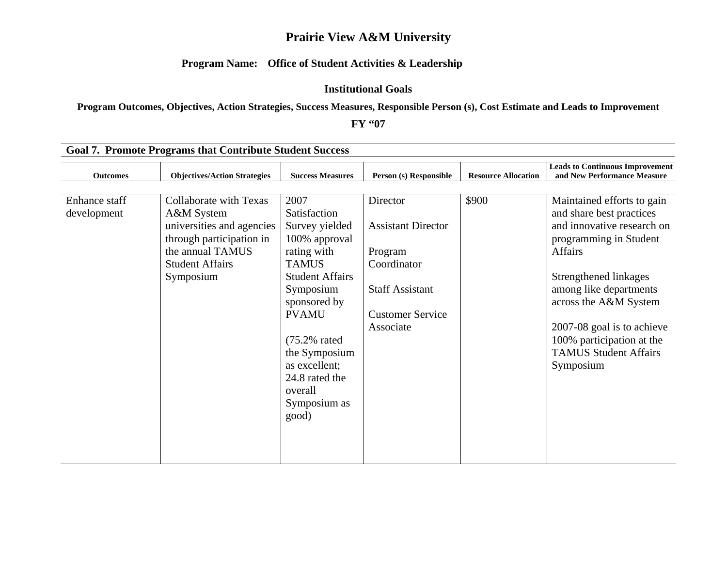## **Program Name: Office of Student Activities & Leadership**

### **Institutional Goals**

**Program Outcomes, Objectives, Action Strategies, Success Measures, Responsible Person (s), Cost Estimate and Leads to Improvement** 

**FY "07** 

| <b>Goal 7. Promote Programs that Contribute Student Success</b> |                                     |                          |                           |                            |                                                                       |  |  |  |
|-----------------------------------------------------------------|-------------------------------------|--------------------------|---------------------------|----------------------------|-----------------------------------------------------------------------|--|--|--|
| <b>Outcomes</b>                                                 | <b>Objectives/Action Strategies</b> | <b>Success Measures</b>  | Person (s) Responsible    | <b>Resource Allocation</b> | <b>Leads to Continuous Improvement</b><br>and New Performance Measure |  |  |  |
|                                                                 |                                     |                          |                           |                            |                                                                       |  |  |  |
| Enhance staff                                                   | <b>Collaborate with Texas</b>       | 2007                     | Director                  | \$900                      | Maintained efforts to gain                                            |  |  |  |
| development                                                     | A&M System                          | Satisfaction             |                           |                            | and share best practices                                              |  |  |  |
|                                                                 | universities and agencies           | Survey yielded           | <b>Assistant Director</b> |                            | and innovative research on                                            |  |  |  |
|                                                                 | through participation in            | 100% approval            |                           |                            | programming in Student                                                |  |  |  |
|                                                                 | the annual TAMUS                    | rating with              | Program                   |                            | Affairs                                                               |  |  |  |
|                                                                 | <b>Student Affairs</b>              | <b>TAMUS</b>             | Coordinator               |                            |                                                                       |  |  |  |
|                                                                 | Symposium                           | <b>Student Affairs</b>   |                           |                            | Strengthened linkages                                                 |  |  |  |
|                                                                 |                                     | Symposium                | <b>Staff Assistant</b>    |                            | among like departments                                                |  |  |  |
|                                                                 |                                     | sponsored by             |                           |                            | across the A&M System                                                 |  |  |  |
|                                                                 |                                     | <b>PVAMU</b>             | <b>Customer Service</b>   |                            |                                                                       |  |  |  |
|                                                                 |                                     |                          | Associate                 |                            | 2007-08 goal is to achieve                                            |  |  |  |
|                                                                 |                                     | $(75.2\% \text{ rated})$ |                           |                            | 100% participation at the                                             |  |  |  |
|                                                                 |                                     | the Symposium            |                           |                            | <b>TAMUS Student Affairs</b>                                          |  |  |  |
|                                                                 |                                     | as excellent;            |                           |                            | Symposium                                                             |  |  |  |
|                                                                 |                                     | 24.8 rated the           |                           |                            |                                                                       |  |  |  |
|                                                                 |                                     | overall                  |                           |                            |                                                                       |  |  |  |
|                                                                 |                                     | Symposium as             |                           |                            |                                                                       |  |  |  |
|                                                                 |                                     | good)                    |                           |                            |                                                                       |  |  |  |
|                                                                 |                                     |                          |                           |                            |                                                                       |  |  |  |
|                                                                 |                                     |                          |                           |                            |                                                                       |  |  |  |
|                                                                 |                                     |                          |                           |                            |                                                                       |  |  |  |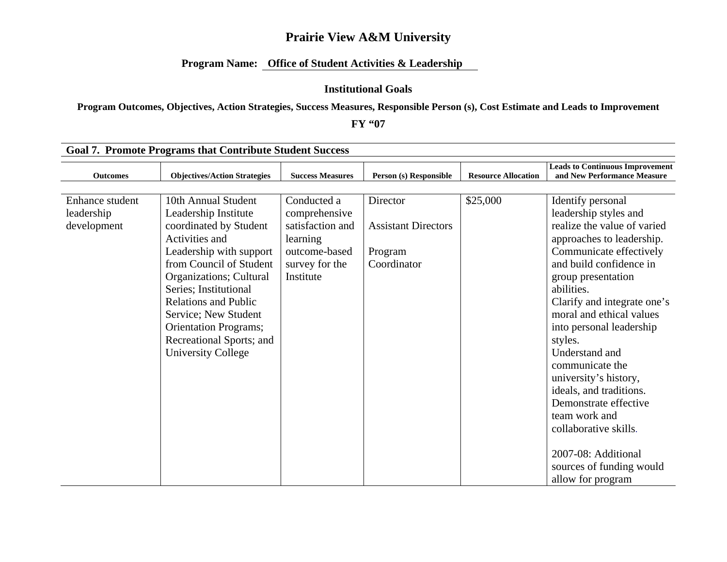## **Program Name: Office of Student Activities & Leadership**

### **Institutional Goals**

## **Program Outcomes, Objectives, Action Strategies, Success Measures, Responsible Person (s), Cost Estimate and Leads to Improvement**

#### **FY "07**

| <b>Goal 7. Promote Programs that Contribute Student Success</b> |                                                                                                                                                                                                                                                                                                                                                   |                                                                                                              |                                                                  |                            |                                                                                                                                                                                                                                                                                                                                                                                                                                                                                                                                        |  |  |  |  |
|-----------------------------------------------------------------|---------------------------------------------------------------------------------------------------------------------------------------------------------------------------------------------------------------------------------------------------------------------------------------------------------------------------------------------------|--------------------------------------------------------------------------------------------------------------|------------------------------------------------------------------|----------------------------|----------------------------------------------------------------------------------------------------------------------------------------------------------------------------------------------------------------------------------------------------------------------------------------------------------------------------------------------------------------------------------------------------------------------------------------------------------------------------------------------------------------------------------------|--|--|--|--|
| <b>Outcomes</b>                                                 | <b>Objectives/Action Strategies</b>                                                                                                                                                                                                                                                                                                               | <b>Success Measures</b>                                                                                      | Person (s) Responsible                                           | <b>Resource Allocation</b> | <b>Leads to Continuous Improvement</b><br>and New Performance Measure                                                                                                                                                                                                                                                                                                                                                                                                                                                                  |  |  |  |  |
|                                                                 |                                                                                                                                                                                                                                                                                                                                                   |                                                                                                              |                                                                  |                            |                                                                                                                                                                                                                                                                                                                                                                                                                                                                                                                                        |  |  |  |  |
| Enhance student<br>leadership<br>development                    | 10th Annual Student<br>Leadership Institute<br>coordinated by Student<br>Activities and<br>Leadership with support<br>from Council of Student<br>Organizations; Cultural<br>Series; Institutional<br><b>Relations and Public</b><br>Service; New Student<br><b>Orientation Programs;</b><br>Recreational Sports; and<br><b>University College</b> | Conducted a<br>comprehensive<br>satisfaction and<br>learning<br>outcome-based<br>survey for the<br>Institute | Director<br><b>Assistant Directors</b><br>Program<br>Coordinator | \$25,000                   | Identify personal<br>leadership styles and<br>realize the value of varied<br>approaches to leadership.<br>Communicate effectively<br>and build confidence in<br>group presentation<br>abilities.<br>Clarify and integrate one's<br>moral and ethical values<br>into personal leadership<br>styles.<br>Understand and<br>communicate the<br>university's history,<br>ideals, and traditions.<br>Demonstrate effective<br>team work and<br>collaborative skills.<br>2007-08: Additional<br>sources of funding would<br>allow for program |  |  |  |  |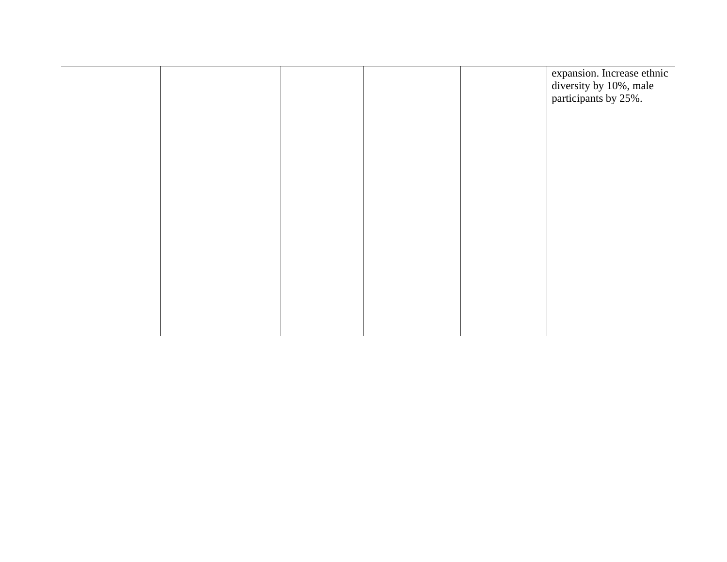|  |  | expansion. Increase ethnic<br>diversity by 10%, male<br>participants by 25%. |
|--|--|------------------------------------------------------------------------------|
|  |  |                                                                              |
|  |  |                                                                              |
|  |  |                                                                              |
|  |  |                                                                              |
|  |  |                                                                              |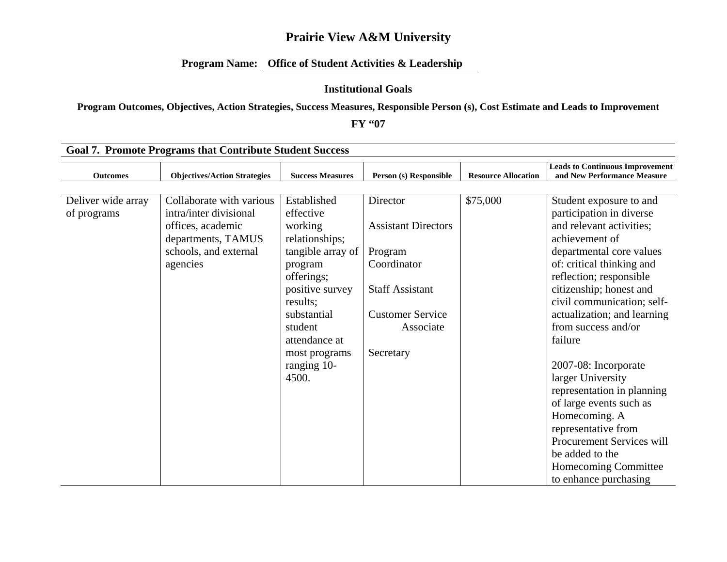## **Program Name: Office of Student Activities & Leadership**

### **Institutional Goals**

**Program Outcomes, Objectives, Action Strategies, Success Measures, Responsible Person (s), Cost Estimate and Leads to Improvement** 

**FY "07** 

|                                   | <b>Goal 7. Promote Programs that Contribute Student Success</b>                                                                    |                                                                                                                                                                                                                        |                                                                                                                                                 |                            |                                                                                                                                                                                                                                                                                                                                                                                                                                                                                                                                       |
|-----------------------------------|------------------------------------------------------------------------------------------------------------------------------------|------------------------------------------------------------------------------------------------------------------------------------------------------------------------------------------------------------------------|-------------------------------------------------------------------------------------------------------------------------------------------------|----------------------------|---------------------------------------------------------------------------------------------------------------------------------------------------------------------------------------------------------------------------------------------------------------------------------------------------------------------------------------------------------------------------------------------------------------------------------------------------------------------------------------------------------------------------------------|
| <b>Outcomes</b>                   | <b>Objectives/Action Strategies</b>                                                                                                | <b>Success Measures</b>                                                                                                                                                                                                | Person (s) Responsible                                                                                                                          | <b>Resource Allocation</b> | <b>Leads to Continuous Improvement</b><br>and New Performance Measure                                                                                                                                                                                                                                                                                                                                                                                                                                                                 |
|                                   |                                                                                                                                    |                                                                                                                                                                                                                        |                                                                                                                                                 |                            |                                                                                                                                                                                                                                                                                                                                                                                                                                                                                                                                       |
| Deliver wide array<br>of programs | Collaborate with various<br>intra/inter divisional<br>offices, academic<br>departments, TAMUS<br>schools, and external<br>agencies | Established<br>effective<br>working<br>relationships;<br>tangible array of<br>program<br>offerings;<br>positive survey<br>results;<br>substantial<br>student<br>attendance at<br>most programs<br>ranging 10-<br>4500. | Director<br><b>Assistant Directors</b><br>Program<br>Coordinator<br><b>Staff Assistant</b><br><b>Customer Service</b><br>Associate<br>Secretary | \$75,000                   | Student exposure to and<br>participation in diverse<br>and relevant activities;<br>achievement of<br>departmental core values<br>of: critical thinking and<br>reflection; responsible<br>citizenship; honest and<br>civil communication; self-<br>actualization; and learning<br>from success and/or<br>failure<br>2007-08: Incorporate<br>larger University<br>representation in planning<br>of large events such as<br>Homecoming. A<br>representative from<br>Procurement Services will<br>be added to the<br>Homecoming Committee |
|                                   |                                                                                                                                    |                                                                                                                                                                                                                        |                                                                                                                                                 |                            | to enhance purchasing                                                                                                                                                                                                                                                                                                                                                                                                                                                                                                                 |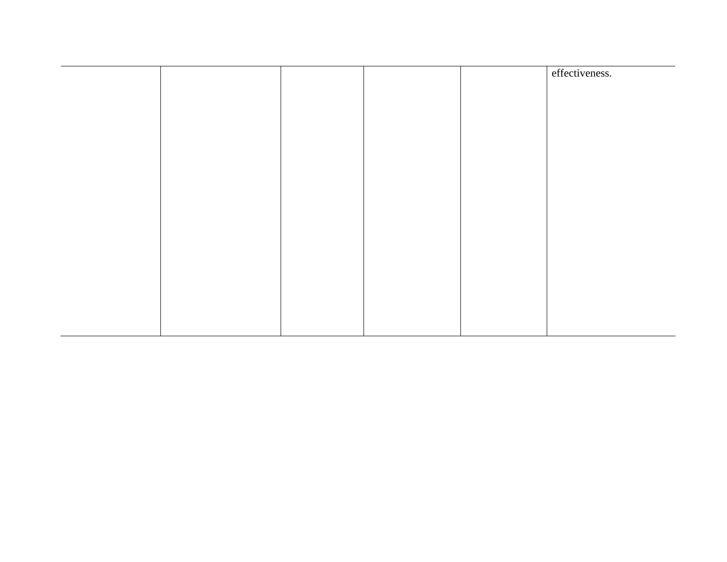|  |  | effectiveness. |
|--|--|----------------|
|  |  |                |
|  |  |                |
|  |  |                |
|  |  |                |
|  |  |                |
|  |  |                |
|  |  |                |
|  |  |                |
|  |  |                |
|  |  |                |
|  |  |                |
|  |  |                |
|  |  |                |
|  |  |                |
|  |  |                |
|  |  |                |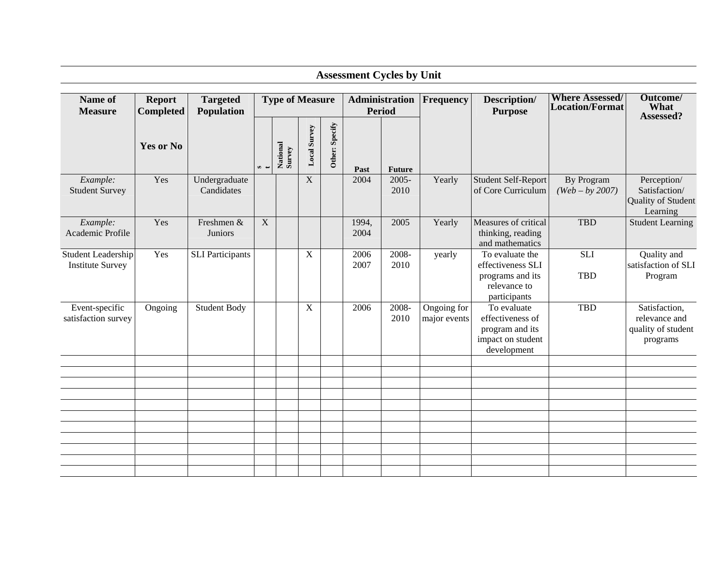| <b>Assessment Cycles by Unit</b>              |                                   |                               |               |                        |              |                |               |                                 |                             |                                                                                          |                                           |                                                                  |
|-----------------------------------------------|-----------------------------------|-------------------------------|---------------|------------------------|--------------|----------------|---------------|---------------------------------|-----------------------------|------------------------------------------------------------------------------------------|-------------------------------------------|------------------------------------------------------------------|
| Name of<br><b>Measure</b>                     | <b>Report</b><br><b>Completed</b> | <b>Targeted</b><br>Population |               | <b>Type of Measure</b> |              |                |               | <b>Administration</b><br>Period | <b>Frequency</b>            | Description/<br><b>Purpose</b>                                                           | <b>Where Assessed/</b><br>Location/Format | Outcome/<br>What<br>Assessed?                                    |
|                                               | Yes or No                         |                               | $\sim$ $\sim$ | National<br>Survey     | Local Survey | Other: Specify | Past          | <b>Future</b>                   |                             |                                                                                          |                                           |                                                                  |
| Example:<br><b>Student Survey</b>             | Yes                               | Undergraduate<br>Candidates   |               |                        | $\mathbf X$  |                | 2004          | $2005 -$<br>2010                | Yearly                      | <b>Student Self-Report</b><br>of Core Curriculum                                         | By Program<br>$(Web - by 2007)$           | Perception/<br>Satisfaction/<br>Quality of Student<br>Learning   |
| Example:<br>Academic Profile                  | Yes                               | Freshmen &<br>Juniors         | $\mathbf X$   |                        |              |                | 1994,<br>2004 | 2005                            | Yearly                      | Measures of critical<br>thinking, reading<br>and mathematics                             | <b>TBD</b>                                | <b>Student Learning</b>                                          |
| Student Leadership<br><b>Institute Survey</b> | Yes                               | <b>SLI</b> Participants       |               |                        | X            |                | 2006<br>2007  | 2008-<br>2010                   | yearly                      | To evaluate the<br>effectiveness SLI<br>programs and its<br>relevance to<br>participants | <b>SLI</b><br><b>TBD</b>                  | Quality and<br>satisfaction of SLI<br>Program                    |
| Event-specific<br>satisfaction survey         | Ongoing                           | <b>Student Body</b>           |               |                        | X            |                | 2006          | 2008-<br>2010                   | Ongoing for<br>major events | To evaluate<br>effectiveness of<br>program and its<br>impact on student<br>development   | <b>TBD</b>                                | Satisfaction,<br>relevance and<br>quality of student<br>programs |
|                                               |                                   |                               |               |                        |              |                |               |                                 |                             |                                                                                          |                                           |                                                                  |
|                                               |                                   |                               |               |                        |              |                |               |                                 |                             |                                                                                          |                                           |                                                                  |
|                                               |                                   |                               |               |                        |              |                |               |                                 |                             |                                                                                          |                                           |                                                                  |
|                                               |                                   |                               |               |                        |              |                |               |                                 |                             |                                                                                          |                                           |                                                                  |
|                                               |                                   |                               |               |                        |              |                |               |                                 |                             |                                                                                          |                                           |                                                                  |
|                                               |                                   |                               |               |                        |              |                |               |                                 |                             |                                                                                          |                                           |                                                                  |
|                                               |                                   |                               |               |                        |              |                |               |                                 |                             |                                                                                          |                                           |                                                                  |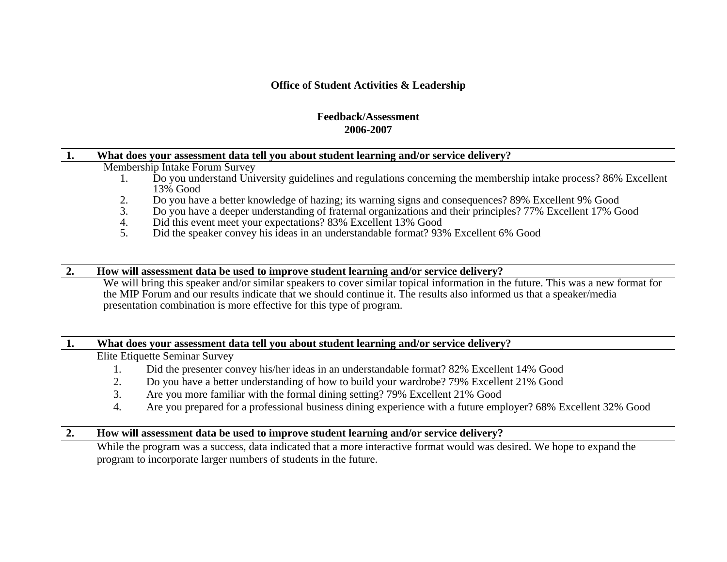## **Office of Student Activities & Leadership**

## **Feedback/Assessment 2006-2007**

### **1. What does your assessment data tell you about student learning and/or service delivery?**

Membership Intake Forum Survey

- 1. Do you understand University guidelines and regulations concerning the membership intake process? 86% Excellent 13% Good
- 2.Do you have a better knowledge of hazing; its warning signs and consequences? 89% Excellent 9% Good
- 3.Do you have a deeper understanding of fraternal organizations and their principles? 77% Excellent 17% Good
- 4.Did this event meet your expectations? 83% Excellent 13% Good
- 5.Did the speaker convey his ideas in an understandable format? 93% Excellent 6% Good

### **2. How will assessment data be used to improve student learning and/or service delivery?**

We will bring this speaker and/or similar speakers to cover similar topical information in the future. This was a new format for the MIP Forum and our results indicate that we should continue it. The results also informed us that a speaker/media presentation combination is more effective for this type of program.

### **1. What does your assessment data tell you about student learning and/or service delivery?**

Elite Etiquette Seminar Survey

- 1.Did the presenter convey his/her ideas in an understandable format? 82% Excellent 14% Good
- 2.Do you have a better understanding of how to build your wardrobe? 79% Excellent 21% Good
- 3.Are you more familiar with the formal dining setting? 79% Excellent 21% Good
- 4.Are you prepared for a professional business dining experience with a future employer? 68% Excellent 32% Good

## **2. How will assessment data be used to improve student learning and/or service delivery?**

While the program was a success, data indicated that a more interactive format would was desired. We hope to expand the program to incorporate larger numbers of students in the future.